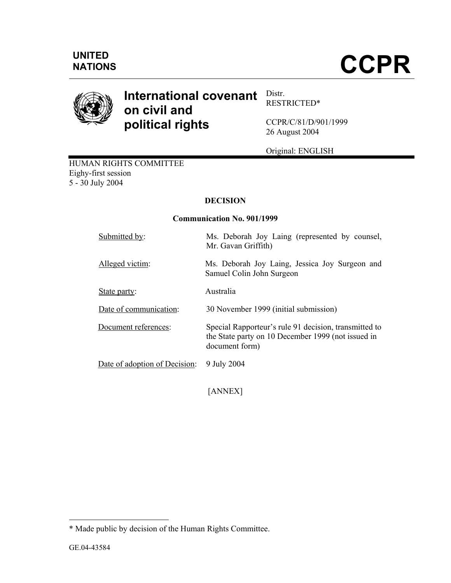

### **International covenant on civil and political rights**  Distr. RESTRICTED\*

CCPR/C/81/D/901/1999 26 August 2004

Original: ENGLISH

HUMAN RIGHTS COMMITTEE Eighy-first session 5 - 30 July 2004

# **DECISION**

## **Communication No. 901/1999**

| Submitted by:                 | Ms. Deborah Joy Laing (represented by counsel,<br>Mr. Gavan Griffith)                                                         |
|-------------------------------|-------------------------------------------------------------------------------------------------------------------------------|
| Alleged victim:               | Ms. Deborah Joy Laing, Jessica Joy Surgeon and<br>Samuel Colin John Surgeon                                                   |
| State party:                  | Australia                                                                                                                     |
| Date of communication:        | 30 November 1999 (initial submission)                                                                                         |
| Document references:          | Special Rapporteur's rule 91 decision, transmitted to<br>the State party on 10 December 1999 (not issued in<br>document form) |
| Date of adoption of Decision: | 9 July 2004                                                                                                                   |

[ANNEX]

-

<sup>\*</sup> Made public by decision of the Human Rights Committee.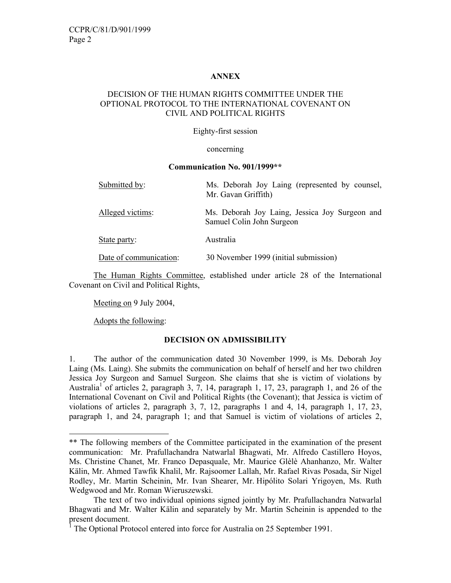## **ANNEX**

## DECISION OF THE HUMAN RIGHTS COMMITTEE UNDER THE OPTIONAL PROTOCOL TO THE INTERNATIONAL COVENANT ON CIVIL AND POLITICAL RIGHTS

## Eighty-first session

### concerning

#### **Communication No. 901/1999\*\***

| Submitted by:          | Ms. Deborah Joy Laing (represented by counsel,<br>Mr. Gavan Griffith)       |
|------------------------|-----------------------------------------------------------------------------|
| Alleged victims:       | Ms. Deborah Joy Laing, Jessica Joy Surgeon and<br>Samuel Colin John Surgeon |
| State party:           | Australia                                                                   |
| Date of communication: | 30 November 1999 (initial submission)                                       |

 The Human Rights Committee, established under article 28 of the International Covenant on Civil and Political Rights,

Meeting on 9 July 2004,

Adopts the following:

-

## **DECISION ON ADMISSIBILITY**

1. The author of the communication dated 30 November 1999, is Ms. Deborah Joy Laing (Ms. Laing). She submits the communication on behalf of herself and her two children Jessica Joy Surgeon and Samuel Surgeon. She claims that she is victim of violations by Australia<sup>1</sup> of articles 2, paragraph 3, 7, 14, paragraph 1, 17, 23, paragraph 1, and 26 of the International Covenant on Civil and Political Rights (the Covenant); that Jessica is victim of violations of articles 2, paragraph 3, 7, 12, paragraphs 1 and 4, 14, paragraph 1, 17, 23, paragraph 1, and 24, paragraph 1; and that Samuel is victim of violations of articles 2,

<sup>\*\*</sup> The following members of the Committee participated in the examination of the present communication: Mr. Prafullachandra Natwarlal Bhagwati, Mr. Alfredo Castillero Hoyos, Ms. Christine Chanet, Mr. Franco Depasquale, Mr. Maurice Glèlè Ahanhanzo, Mr. Walter Kälin, Mr. Ahmed Tawfik Khalil, Mr. Rajsoomer Lallah, Mr. Rafael Rivas Posada, Sir Nigel Rodley, Mr. Martin Scheinin, Mr. Ivan Shearer, Mr. Hipólito Solari Yrigoyen, Ms. Ruth Wedgwood and Mr. Roman Wieruszewski.

The text of two individual opinions signed jointly by Mr. Prafullachandra Natwarlal Bhagwati and Mr. Walter Kälin and separately by Mr. Martin Scheinin is appended to the present document.

<sup>1</sup> The Optional Protocol entered into force for Australia on 25 September 1991.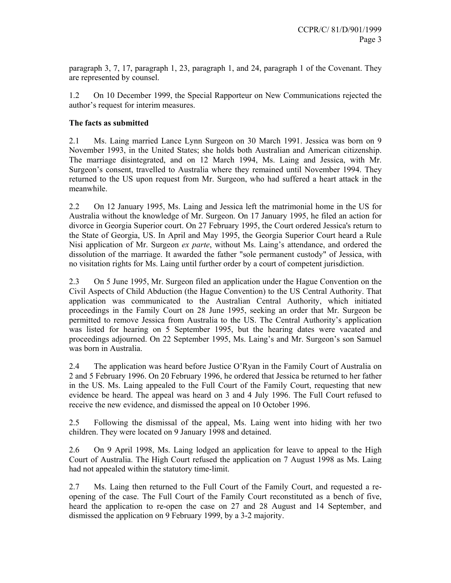paragraph 3, 7, 17, paragraph 1, 23, paragraph 1, and 24, paragraph 1 of the Covenant. They are represented by counsel.

1.2 On 10 December 1999, the Special Rapporteur on New Communications rejected the author's request for interim measures.

## **The facts as submitted**

2.1 Ms. Laing married Lance Lynn Surgeon on 30 March 1991. Jessica was born on 9 November 1993, in the United States; she holds both Australian and American citizenship. The marriage disintegrated, and on 12 March 1994, Ms. Laing and Jessica, with Mr. Surgeon's consent, travelled to Australia where they remained until November 1994. They returned to the US upon request from Mr. Surgeon, who had suffered a heart attack in the meanwhile.

2.2 On 12 January 1995, Ms. Laing and Jessica left the matrimonial home in the US for Australia without the knowledge of Mr. Surgeon. On 17 January 1995, he filed an action for divorce in Georgia Superior court. On 27 February 1995, the Court ordered Jessica's return to the State of Georgia, US. In April and May 1995, the Georgia Superior Court heard a Rule Nisi application of Mr. Surgeon *ex parte*, without Ms. Laing's attendance, and ordered the dissolution of the marriage. It awarded the father "sole permanent custody" of Jessica, with no visitation rights for Ms. Laing until further order by a court of competent jurisdiction.

2.3 On 5 June 1995, Mr. Surgeon filed an application under the Hague Convention on the Civil Aspects of Child Abduction (the Hague Convention) to the US Central Authority. That application was communicated to the Australian Central Authority, which initiated proceedings in the Family Court on 28 June 1995, seeking an order that Mr. Surgeon be permitted to remove Jessica from Australia to the US. The Central Authority's application was listed for hearing on 5 September 1995, but the hearing dates were vacated and proceedings adjourned. On 22 September 1995, Ms. Laing's and Mr. Surgeon's son Samuel was born in Australia.

2.4 The application was heard before Justice O'Ryan in the Family Court of Australia on 2 and 5 February 1996. On 20 February 1996, he ordered that Jessica be returned to her father in the US. Ms. Laing appealed to the Full Court of the Family Court, requesting that new evidence be heard. The appeal was heard on 3 and 4 July 1996. The Full Court refused to receive the new evidence, and dismissed the appeal on 10 October 1996.

2.5 Following the dismissal of the appeal, Ms. Laing went into hiding with her two children. They were located on 9 January 1998 and detained.

2.6 On 9 April 1998, Ms. Laing lodged an application for leave to appeal to the High Court of Australia. The High Court refused the application on 7 August 1998 as Ms. Laing had not appealed within the statutory time-limit.

2.7 Ms. Laing then returned to the Full Court of the Family Court, and requested a reopening of the case. The Full Court of the Family Court reconstituted as a bench of five, heard the application to re-open the case on 27 and 28 August and 14 September, and dismissed the application on 9 February 1999, by a 3-2 majority.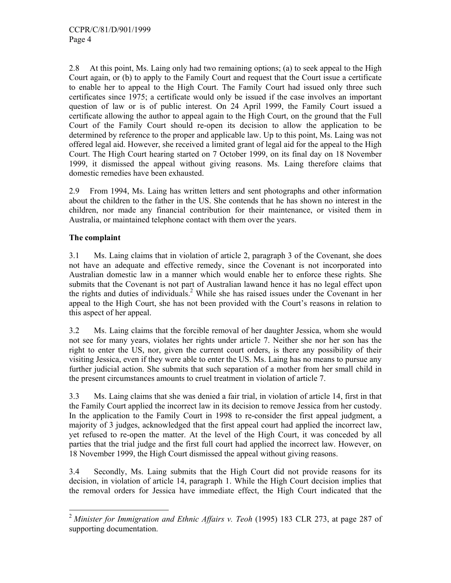2.8 At this point, Ms. Laing only had two remaining options; (a) to seek appeal to the High Court again, or (b) to apply to the Family Court and request that the Court issue a certificate to enable her to appeal to the High Court. The Family Court had issued only three such certificates since 1975; a certificate would only be issued if the case involves an important question of law or is of public interest. On 24 April 1999, the Family Court issued a certificate allowing the author to appeal again to the High Court, on the ground that the Full Court of the Family Court should re-open its decision to allow the application to be determined by reference to the proper and applicable law. Up to this point, Ms. Laing was not offered legal aid. However, she received a limited grant of legal aid for the appeal to the High Court. The High Court hearing started on 7 October 1999, on its final day on 18 November 1999, it dismissed the appeal without giving reasons. Ms. Laing therefore claims that domestic remedies have been exhausted.

2.9 From 1994, Ms. Laing has written letters and sent photographs and other information about the children to the father in the US. She contends that he has shown no interest in the children, nor made any financial contribution for their maintenance, or visited them in Australia, or maintained telephone contact with them over the years.

## **The complaint**

3.1 Ms. Laing claims that in violation of article 2, paragraph 3 of the Covenant, she does not have an adequate and effective remedy, since the Covenant is not incorporated into Australian domestic law in a manner which would enable her to enforce these rights. She submits that the Covenant is not part of Australian lawand hence it has no legal effect upon the rights and duties of individuals.<sup>2</sup> While she has raised issues under the Covenant in her appeal to the High Court, she has not been provided with the Court's reasons in relation to this aspect of her appeal.

3.2 Ms. Laing claims that the forcible removal of her daughter Jessica, whom she would not see for many years, violates her rights under article 7. Neither she nor her son has the right to enter the US, nor, given the current court orders, is there any possibility of their visiting Jessica, even if they were able to enter the US. Ms. Laing has no means to pursue any further judicial action. She submits that such separation of a mother from her small child in the present circumstances amounts to cruel treatment in violation of article 7.

3.3 Ms. Laing claims that she was denied a fair trial, in violation of article 14, first in that the Family Court applied the incorrect law in its decision to remove Jessica from her custody. In the application to the Family Court in 1998 to re-consider the first appeal judgment, a majority of 3 judges, acknowledged that the first appeal court had applied the incorrect law, yet refused to re-open the matter. At the level of the High Court, it was conceded by all parties that the trial judge and the first full court had applied the incorrect law. However, on 18 November 1999, the High Court dismissed the appeal without giving reasons.

3.4 Secondly, Ms. Laing submits that the High Court did not provide reasons for its decision, in violation of article 14, paragraph 1. While the High Court decision implies that the removal orders for Jessica have immediate effect, the High Court indicated that the

<sup>-</sup><sup>2</sup> Minister for Immigration and Ethnic Affairs v. Teoh (1995) 183 CLR 273, at page 287 of supporting documentation.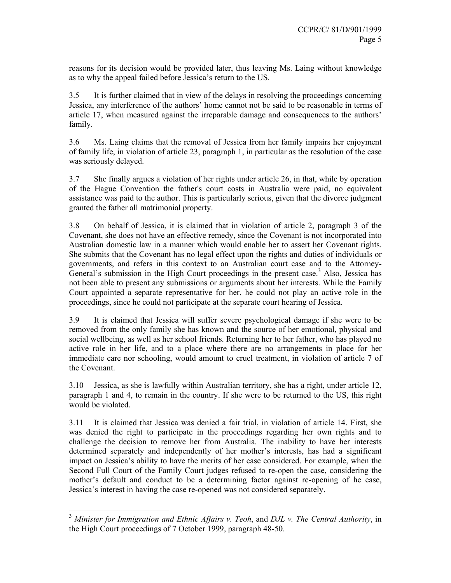reasons for its decision would be provided later, thus leaving Ms. Laing without knowledge as to why the appeal failed before Jessica's return to the US.

3.5 It is further claimed that in view of the delays in resolving the proceedings concerning Jessica, any interference of the authors' home cannot not be said to be reasonable in terms of article 17, when measured against the irreparable damage and consequences to the authors' family.

3.6 Ms. Laing claims that the removal of Jessica from her family impairs her enjoyment of family life, in violation of article 23, paragraph 1, in particular as the resolution of the case was seriously delayed.

3.7 She finally argues a violation of her rights under article 26, in that, while by operation of the Hague Convention the father's court costs in Australia were paid, no equivalent assistance was paid to the author. This is particularly serious, given that the divorce judgment granted the father all matrimonial property.

3.8 On behalf of Jessica, it is claimed that in violation of article 2, paragraph 3 of the Covenant, she does not have an effective remedy, since the Covenant is not incorporated into Australian domestic law in a manner which would enable her to assert her Covenant rights. She submits that the Covenant has no legal effect upon the rights and duties of individuals or governments, and refers in this context to an Australian court case and to the Attorney-General's submission in the High Court proceedings in the present case.<sup>3</sup> Also, Jessica has not been able to present any submissions or arguments about her interests. While the Family Court appointed a separate representative for her, he could not play an active role in the proceedings, since he could not participate at the separate court hearing of Jessica.

3.9 It is claimed that Jessica will suffer severe psychological damage if she were to be removed from the only family she has known and the source of her emotional, physical and social wellbeing, as well as her school friends. Returning her to her father, who has played no active role in her life, and to a place where there are no arrangements in place for her immediate care nor schooling, would amount to cruel treatment, in violation of article 7 of the Covenant.

3.10 Jessica, as she is lawfully within Australian territory, she has a right, under article 12, paragraph 1 and 4, to remain in the country. If she were to be returned to the US, this right would be violated.

3.11 It is claimed that Jessica was denied a fair trial, in violation of article 14. First, she was denied the right to participate in the proceedings regarding her own rights and to challenge the decision to remove her from Australia. The inability to have her interests determined separately and independently of her mother's interests, has had a significant impact on Jessica's ability to have the merits of her case considered. For example, when the Second Full Court of the Family Court judges refused to re-open the case, considering the mother's default and conduct to be a determining factor against re-opening of he case, Jessica's interest in having the case re-opened was not considered separately.

-

<sup>3</sup> *Minister for Immigration and Ethnic Affairs v. Teoh*, and *DJL v. The Central Authority*, in the High Court proceedings of 7 October 1999, paragraph 48-50.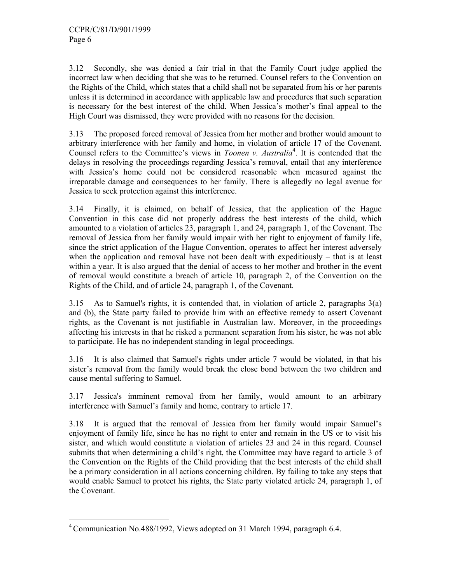3.12 Secondly, she was denied a fair trial in that the Family Court judge applied the incorrect law when deciding that she was to be returned. Counsel refers to the Convention on the Rights of the Child, which states that a child shall not be separated from his or her parents unless it is determined in accordance with applicable law and procedures that such separation is necessary for the best interest of the child. When Jessica's mother's final appeal to the High Court was dismissed, they were provided with no reasons for the decision.

3.13 The proposed forced removal of Jessica from her mother and brother would amount to arbitrary interference with her family and home, in violation of article 17 of the Covenant. Counsel refers to the Committee's views in *Toonen v. Australia*<sup>4</sup>. It is contended that the delays in resolving the proceedings regarding Jessica's removal, entail that any interference with Jessica's home could not be considered reasonable when measured against the irreparable damage and consequences to her family. There is allegedly no legal avenue for Jessica to seek protection against this interference.

3.14 Finally, it is claimed, on behalf of Jessica, that the application of the Hague Convention in this case did not properly address the best interests of the child, which amounted to a violation of articles 23, paragraph 1, and 24, paragraph 1, of the Covenant. The removal of Jessica from her family would impair with her right to enjoyment of family life, since the strict application of the Hague Convention, operates to affect her interest adversely when the application and removal have not been dealt with expeditiously – that is at least within a year. It is also argued that the denial of access to her mother and brother in the event of removal would constitute a breach of article 10, paragraph 2, of the Convention on the Rights of the Child, and of article 24, paragraph 1, of the Covenant.

3.15 As to Samuel's rights, it is contended that, in violation of article 2, paragraphs 3(a) and (b), the State party failed to provide him with an effective remedy to assert Covenant rights, as the Covenant is not justifiable in Australian law. Moreover, in the proceedings affecting his interests in that he risked a permanent separation from his sister, he was not able to participate. He has no independent standing in legal proceedings.

3.16 It is also claimed that Samuel's rights under article 7 would be violated, in that his sister's removal from the family would break the close bond between the two children and cause mental suffering to Samuel.

3.17 Jessica's imminent removal from her family, would amount to an arbitrary interference with Samuel's family and home, contrary to article 17.

3.18 It is argued that the removal of Jessica from her family would impair Samuel's enjoyment of family life, since he has no right to enter and remain in the US or to visit his sister, and which would constitute a violation of articles 23 and 24 in this regard. Counsel submits that when determining a child's right, the Committee may have regard to article 3 of the Convention on the Rights of the Child providing that the best interests of the child shall be a primary consideration in all actions concerning children. By failing to take any steps that would enable Samuel to protect his rights, the State party violated article 24, paragraph 1, of the Covenant.

<sup>-</sup><sup>4</sup> Communication No.488/1992, Views adopted on 31 March 1994, paragraph 6.4.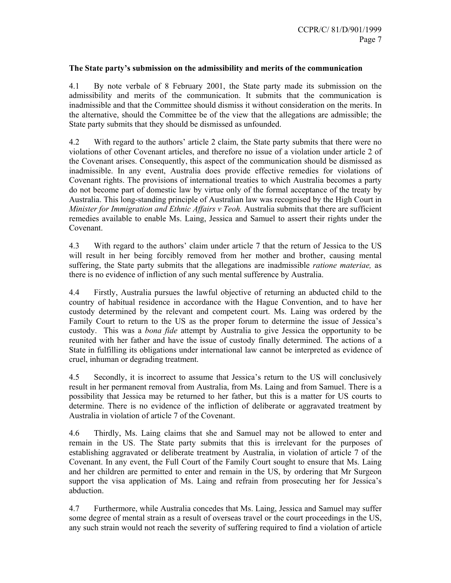## **The State party's submission on the admissibility and merits of the communication**

4.1 By note verbale of 8 February 2001, the State party made its submission on the admissibility and merits of the communication. It submits that the communication is inadmissible and that the Committee should dismiss it without consideration on the merits. In the alternative, should the Committee be of the view that the allegations are admissible; the State party submits that they should be dismissed as unfounded.

4.2 With regard to the authors' article 2 claim, the State party submits that there were no violations of other Covenant articles, and therefore no issue of a violation under article 2 of the Covenant arises. Consequently, this aspect of the communication should be dismissed as inadmissible. In any event, Australia does provide effective remedies for violations of Covenant rights. The provisions of international treaties to which Australia becomes a party do not become part of domestic law by virtue only of the formal acceptance of the treaty by Australia. This long-standing principle of Australian law was recognised by the High Court in *Minister for Immigration and Ethnic Affairs v Teoh.* Australia submits that there are sufficient remedies available to enable Ms. Laing, Jessica and Samuel to assert their rights under the Covenant.

4.3 With regard to the authors' claim under article 7 that the return of Jessica to the US will result in her being forcibly removed from her mother and brother, causing mental suffering, the State party submits that the allegations are inadmissible *ratione materiae,* as there is no evidence of infliction of any such mental sufference by Australia.

4.4 Firstly, Australia pursues the lawful objective of returning an abducted child to the country of habitual residence in accordance with the Hague Convention, and to have her custody determined by the relevant and competent court. Ms. Laing was ordered by the Family Court to return to the US as the proper forum to determine the issue of Jessica's custody. This was a *bona fide* attempt by Australia to give Jessica the opportunity to be reunited with her father and have the issue of custody finally determined. The actions of a State in fulfilling its obligations under international law cannot be interpreted as evidence of cruel, inhuman or degrading treatment.

4.5 Secondly, it is incorrect to assume that Jessica's return to the US will conclusively result in her permanent removal from Australia, from Ms. Laing and from Samuel. There is a possibility that Jessica may be returned to her father, but this is a matter for US courts to determine. There is no evidence of the infliction of deliberate or aggravated treatment by Australia in violation of article 7 of the Covenant.

4.6 Thirdly, Ms. Laing claims that she and Samuel may not be allowed to enter and remain in the US. The State party submits that this is irrelevant for the purposes of establishing aggravated or deliberate treatment by Australia, in violation of article 7 of the Covenant. In any event, the Full Court of the Family Court sought to ensure that Ms. Laing and her children are permitted to enter and remain in the US, by ordering that Mr Surgeon support the visa application of Ms. Laing and refrain from prosecuting her for Jessica's abduction.

4.7 Furthermore, while Australia concedes that Ms. Laing, Jessica and Samuel may suffer some degree of mental strain as a result of overseas travel or the court proceedings in the US, any such strain would not reach the severity of suffering required to find a violation of article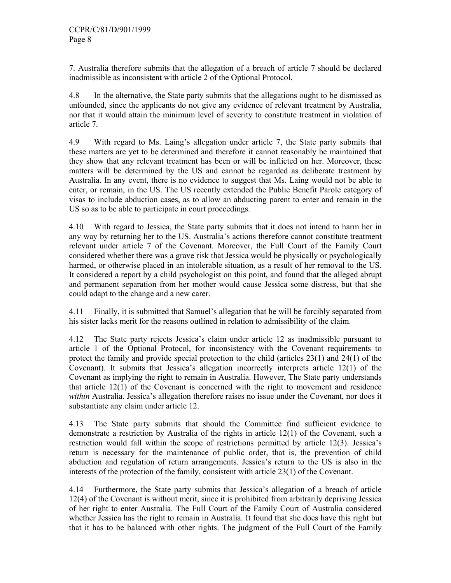7. Australia therefore submits that the allegation of a breach of article 7 should be declared inadmissible as inconsistent with article 2 of the Optional Protocol.

4.8 In the alternative, the State party submits that the allegations ought to be dismissed as unfounded, since the applicants do not give any evidence of relevant treatment by Australia, nor that it would attain the minimum level of severity to constitute treatment in violation of article 7.

4.9 With regard to Ms. Laing's allegation under article 7, the State party submits that these matters are yet to be determined and therefore it cannot reasonably be maintained that they show that any relevant treatment has been or will be inflicted on her. Moreover, these matters will be determined by the US and cannot be regarded as deliberate treatment by Australia. In any event, there is no evidence to suggest that Ms. Laing would not be able to enter, or remain, in the US. The US recently extended the Public Benefit Parole category of visas to include abduction cases, as to allow an abducting parent to enter and remain in the US so as to be able to participate in court proceedings.

4.10 With regard to Jessica, the State party submits that it does not intend to harm her in any way by returning her to the US. Australia's actions therefore cannot constitute treatment relevant under article 7 of the Covenant. Moreover, the Full Court of the Family Court considered whether there was a grave risk that Jessica would be physically or psychologically harmed, or otherwise placed in an intolerable situation, as a result of her removal to the US. It considered a report by a child psychologist on this point, and found that the alleged abrupt and permanent separation from her mother would cause Jessica some distress, but that she could adapt to the change and a new carer.

4.11 Finally, it is submitted that Samuel's allegation that he will be forcibly separated from his sister lacks merit for the reasons outlined in relation to admissibility of the claim.

4.12 The State party rejects Jessica's claim under article 12 as inadmissible pursuant to article 1 of the Optional Protocol, for inconsistency with the Covenant requirements to protect the family and provide special protection to the child (articles 23(1) and 24(1) of the Covenant). It submits that Jessica's allegation incorrectly interprets article 12(1) of the Covenant as implying the right to remain in Australia. However, The State party understands that article 12(1) of the Covenant is concerned with the right to movement and residence *within* Australia. Jessica's allegation therefore raises no issue under the Covenant, nor does it substantiate any claim under article 12.

4.13 The State party submits that should the Committee find sufficient evidence to demonstrate a restriction by Australia of the rights in article 12(1) of the Covenant, such a restriction would fall within the scope of restrictions permitted by article 12(3). Jessica's return is necessary for the maintenance of public order, that is, the prevention of child abduction and regulation of return arrangements. Jessica's return to the US is also in the interests of the protection of the family, consistent with article 23(1) of the Covenant.

4.14 Furthermore, the State party submits that Jessica's allegation of a breach of article 12(4) of the Covenant is without merit, since it is prohibited from arbitrarily depriving Jessica of her right to enter Australia. The Full Court of the Family Court of Australia considered whether Jessica has the right to remain in Australia. It found that she does have this right but that it has to be balanced with other rights. The judgment of the Full Court of the Family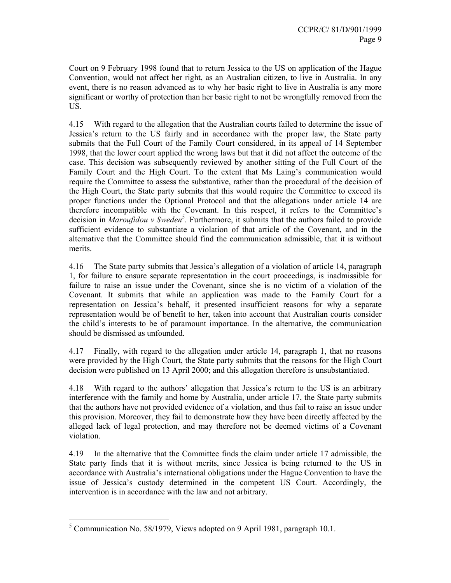Court on 9 February 1998 found that to return Jessica to the US on application of the Hague Convention, would not affect her right, as an Australian citizen, to live in Australia. In any event, there is no reason advanced as to why her basic right to live in Australia is any more significant or worthy of protection than her basic right to not be wrongfully removed from the US.

4.15 With regard to the allegation that the Australian courts failed to determine the issue of Jessica's return to the US fairly and in accordance with the proper law, the State party submits that the Full Court of the Family Court considered, in its appeal of 14 September 1998, that the lower court applied the wrong laws but that it did not affect the outcome of the case. This decision was subsequently reviewed by another sitting of the Full Court of the Family Court and the High Court. To the extent that Ms Laing's communication would require the Committee to assess the substantive, rather than the procedural of the decision of the High Court, the State party submits that this would require the Committee to exceed its proper functions under the Optional Protocol and that the allegations under article 14 are therefore incompatible with the Covenant. In this respect, it refers to the Committee's decision in *Maroufidou v Sweden*<sup>5</sup>. Furthermore, it submits that the authors failed to provide sufficient evidence to substantiate a violation of that article of the Covenant, and in the alternative that the Committee should find the communication admissible, that it is without merits.

4.16 The State party submits that Jessica's allegation of a violation of article 14, paragraph 1, for failure to ensure separate representation in the court proceedings, is inadmissible for failure to raise an issue under the Covenant, since she is no victim of a violation of the Covenant. It submits that while an application was made to the Family Court for a representation on Jessica's behalf, it presented insufficient reasons for why a separate representation would be of benefit to her, taken into account that Australian courts consider the child's interests to be of paramount importance. In the alternative, the communication should be dismissed as unfounded.

4.17 Finally, with regard to the allegation under article 14, paragraph 1, that no reasons were provided by the High Court, the State party submits that the reasons for the High Court decision were published on 13 April 2000; and this allegation therefore is unsubstantiated.

4.18 With regard to the authors' allegation that Jessica's return to the US is an arbitrary interference with the family and home by Australia, under article 17, the State party submits that the authors have not provided evidence of a violation, and thus fail to raise an issue under this provision. Moreover, they fail to demonstrate how they have been directly affected by the alleged lack of legal protection, and may therefore not be deemed victims of a Covenant violation.

4.19 In the alternative that the Committee finds the claim under article 17 admissible, the State party finds that it is without merits, since Jessica is being returned to the US in accordance with Australia's international obligations under the Hague Convention to have the issue of Jessica's custody determined in the competent US Court. Accordingly, the intervention is in accordance with the law and not arbitrary.

<sup>-</sup><sup>5</sup> Communication No. 58/1979, Views adopted on 9 April 1981, paragraph 10.1.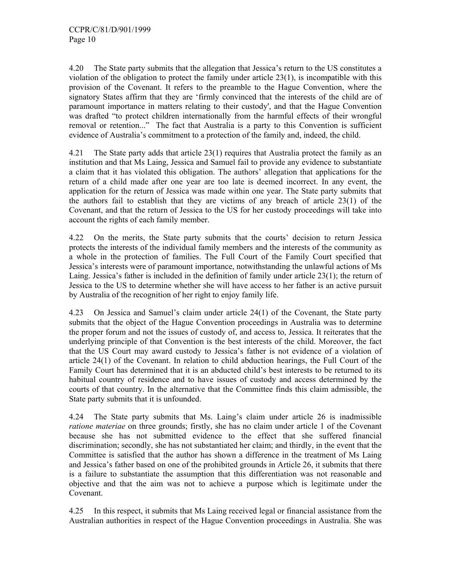4.20 The State party submits that the allegation that Jessica's return to the US constitutes a violation of the obligation to protect the family under article 23(1), is incompatible with this provision of the Covenant. It refers to the preamble to the Hague Convention, where the signatory States affirm that they are 'firmly convinced that the interests of the child are of paramount importance in matters relating to their custody', and that the Hague Convention was drafted "to protect children internationally from the harmful effects of their wrongful removal or retention..." The fact that Australia is a party to this Convention is sufficient evidence of Australia's commitment to a protection of the family and, indeed, the child.

4.21 The State party adds that article 23(1) requires that Australia protect the family as an institution and that Ms Laing, Jessica and Samuel fail to provide any evidence to substantiate a claim that it has violated this obligation. The authors' allegation that applications for the return of a child made after one year are too late is deemed incorrect. In any event, the application for the return of Jessica was made within one year. The State party submits that the authors fail to establish that they are victims of any breach of article 23(1) of the Covenant, and that the return of Jessica to the US for her custody proceedings will take into account the rights of each family member.

4.22 On the merits, the State party submits that the courts' decision to return Jessica protects the interests of the individual family members and the interests of the community as a whole in the protection of families. The Full Court of the Family Court specified that Jessica's interests were of paramount importance, notwithstanding the unlawful actions of Ms Laing. Jessica's father is included in the definition of family under article 23(1); the return of Jessica to the US to determine whether she will have access to her father is an active pursuit by Australia of the recognition of her right to enjoy family life.

4.23 On Jessica and Samuel's claim under article 24(1) of the Covenant, the State party submits that the object of the Hague Convention proceedings in Australia was to determine the proper forum and not the issues of custody of, and access to, Jessica. It reiterates that the underlying principle of that Convention is the best interests of the child. Moreover, the fact that the US Court may award custody to Jessica's father is not evidence of a violation of article 24(1) of the Covenant. In relation to child abduction hearings, the Full Court of the Family Court has determined that it is an abducted child's best interests to be returned to its habitual country of residence and to have issues of custody and access determined by the courts of that country. In the alternative that the Committee finds this claim admissible, the State party submits that it is unfounded.

4.24 The State party submits that Ms. Laing's claim under article 26 is inadmissible *ratione materiae* on three grounds; firstly, she has no claim under article 1 of the Covenant because she has not submitted evidence to the effect that she suffered financial discrimination; secondly, she has not substantiated her claim; and thirdly, in the event that the Committee is satisfied that the author has shown a difference in the treatment of Ms Laing and Jessica's father based on one of the prohibited grounds in Article 26, it submits that there is a failure to substantiate the assumption that this differentiation was not reasonable and objective and that the aim was not to achieve a purpose which is legitimate under the Covenant.

4.25 In this respect, it submits that Ms Laing received legal or financial assistance from the Australian authorities in respect of the Hague Convention proceedings in Australia. She was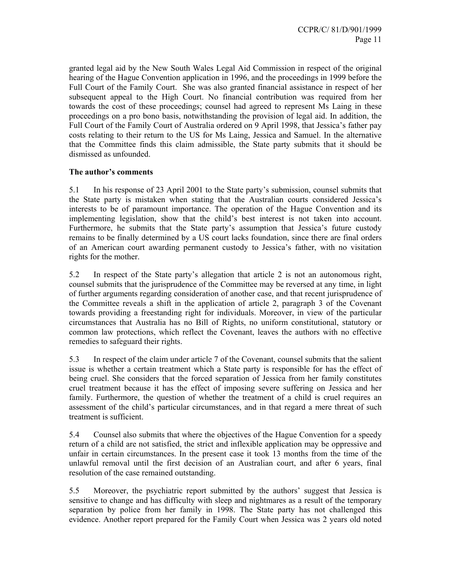granted legal aid by the New South Wales Legal Aid Commission in respect of the original hearing of the Hague Convention application in 1996, and the proceedings in 1999 before the Full Court of the Family Court. She was also granted financial assistance in respect of her subsequent appeal to the High Court. No financial contribution was required from her towards the cost of these proceedings; counsel had agreed to represent Ms Laing in these proceedings on a pro bono basis, notwithstanding the provision of legal aid. In addition, the Full Court of the Family Court of Australia ordered on 9 April 1998, that Jessica's father pay costs relating to their return to the US for Ms Laing, Jessica and Samuel. In the alternative that the Committee finds this claim admissible, the State party submits that it should be dismissed as unfounded.

## **The author's comments**

5.1 In his response of 23 April 2001 to the State party's submission, counsel submits that the State party is mistaken when stating that the Australian courts considered Jessica's interests to be of paramount importance. The operation of the Hague Convention and its implementing legislation, show that the child's best interest is not taken into account. Furthermore, he submits that the State party's assumption that Jessica's future custody remains to be finally determined by a US court lacks foundation, since there are final orders of an American court awarding permanent custody to Jessica's father, with no visitation rights for the mother.

5.2 In respect of the State party's allegation that article 2 is not an autonomous right, counsel submits that the jurisprudence of the Committee may be reversed at any time, in light of further arguments regarding consideration of another case, and that recent jurisprudence of the Committee reveals a shift in the application of article 2, paragraph 3 of the Covenant towards providing a freestanding right for individuals. Moreover, in view of the particular circumstances that Australia has no Bill of Rights, no uniform constitutional, statutory or common law protections, which reflect the Covenant, leaves the authors with no effective remedies to safeguard their rights.

5.3 In respect of the claim under article 7 of the Covenant, counsel submits that the salient issue is whether a certain treatment which a State party is responsible for has the effect of being cruel. She considers that the forced separation of Jessica from her family constitutes cruel treatment because it has the effect of imposing severe suffering on Jessica and her family. Furthermore, the question of whether the treatment of a child is cruel requires an assessment of the child's particular circumstances, and in that regard a mere threat of such treatment is sufficient.

5.4 Counsel also submits that where the objectives of the Hague Convention for a speedy return of a child are not satisfied, the strict and inflexible application may be oppressive and unfair in certain circumstances. In the present case it took 13 months from the time of the unlawful removal until the first decision of an Australian court, and after 6 years, final resolution of the case remained outstanding.

5.5 Moreover, the psychiatric report submitted by the authors' suggest that Jessica is sensitive to change and has difficulty with sleep and nightmares as a result of the temporary separation by police from her family in 1998. The State party has not challenged this evidence. Another report prepared for the Family Court when Jessica was 2 years old noted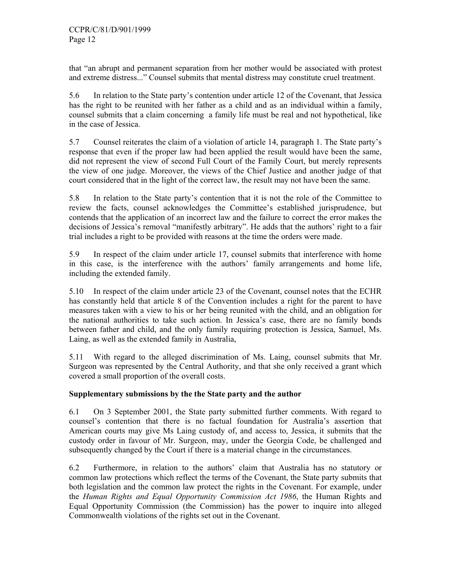that "an abrupt and permanent separation from her mother would be associated with protest and extreme distress..." Counsel submits that mental distress may constitute cruel treatment.

5.6 In relation to the State party's contention under article 12 of the Covenant, that Jessica has the right to be reunited with her father as a child and as an individual within a family, counsel submits that a claim concerning a family life must be real and not hypothetical, like in the case of Jessica.

5.7 Counsel reiterates the claim of a violation of article 14, paragraph 1. The State party's response that even if the proper law had been applied the result would have been the same, did not represent the view of second Full Court of the Family Court, but merely represents the view of one judge. Moreover, the views of the Chief Justice and another judge of that court considered that in the light of the correct law, the result may not have been the same.

5.8 In relation to the State party's contention that it is not the role of the Committee to review the facts, counsel acknowledges the Committee's established jurisprudence, but contends that the application of an incorrect law and the failure to correct the error makes the decisions of Jessica's removal "manifestly arbitrary". He adds that the authors' right to a fair trial includes a right to be provided with reasons at the time the orders were made.

5.9 In respect of the claim under article 17, counsel submits that interference with home in this case, is the interference with the authors' family arrangements and home life, including the extended family.

5.10 In respect of the claim under article 23 of the Covenant, counsel notes that the ECHR has constantly held that article 8 of the Convention includes a right for the parent to have measures taken with a view to his or her being reunited with the child, and an obligation for the national authorities to take such action. In Jessica's case, there are no family bonds between father and child, and the only family requiring protection is Jessica, Samuel, Ms. Laing, as well as the extended family in Australia,

5.11 With regard to the alleged discrimination of Ms. Laing, counsel submits that Mr. Surgeon was represented by the Central Authority, and that she only received a grant which covered a small proportion of the overall costs.

## **Supplementary submissions by the the State party and the author**

6.1 On 3 September 2001, the State party submitted further comments. With regard to counsel's contention that there is no factual foundation for Australia's assertion that American courts may give Ms Laing custody of, and access to, Jessica, it submits that the custody order in favour of Mr. Surgeon, may, under the Georgia Code, be challenged and subsequently changed by the Court if there is a material change in the circumstances.

6.2 Furthermore, in relation to the authors' claim that Australia has no statutory or common law protections which reflect the terms of the Covenant, the State party submits that both legislation and the common law protect the rights in the Covenant. For example, under the *Human Rights and Equal Opportunity Commission Act 1986*, the Human Rights and Equal Opportunity Commission (the Commission) has the power to inquire into alleged Commonwealth violations of the rights set out in the Covenant.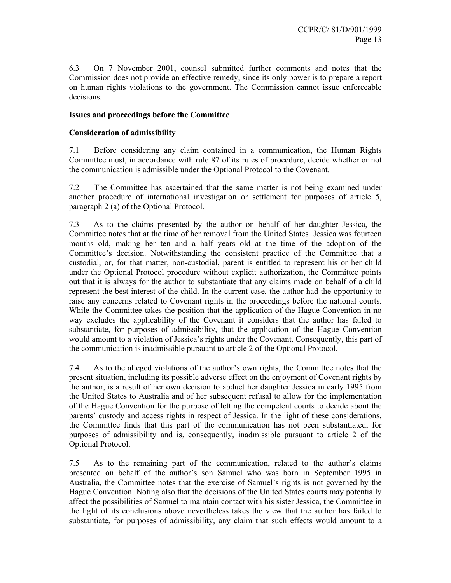6.3 On 7 November 2001, counsel submitted further comments and notes that the Commission does not provide an effective remedy, since its only power is to prepare a report on human rights violations to the government. The Commission cannot issue enforceable decisions.

## **Issues and proceedings before the Committee**

## **Consideration of admissibility**

7.1 Before considering any claim contained in a communication, the Human Rights Committee must, in accordance with rule 87 of its rules of procedure, decide whether or not the communication is admissible under the Optional Protocol to the Covenant.

7.2 The Committee has ascertained that the same matter is not being examined under another procedure of international investigation or settlement for purposes of article 5, paragraph 2 (a) of the Optional Protocol.

7.3 As to the claims presented by the author on behalf of her daughter Jessica, the Committee notes that at the time of her removal from the United States Jessica was fourteen months old, making her ten and a half years old at the time of the adoption of the Committee's decision. Notwithstanding the consistent practice of the Committee that a custodial, or, for that matter, non-custodial, parent is entitled to represent his or her child under the Optional Protocol procedure without explicit authorization, the Committee points out that it is always for the author to substantiate that any claims made on behalf of a child represent the best interest of the child. In the current case, the author had the opportunity to raise any concerns related to Covenant rights in the proceedings before the national courts. While the Committee takes the position that the application of the Hague Convention in no way excludes the applicability of the Covenant it considers that the author has failed to substantiate, for purposes of admissibility, that the application of the Hague Convention would amount to a violation of Jessica's rights under the Covenant. Consequently, this part of the communication is inadmissible pursuant to article 2 of the Optional Protocol.

7.4 As to the alleged violations of the author's own rights, the Committee notes that the present situation, including its possible adverse effect on the enjoyment of Covenant rights by the author, is a result of her own decision to abduct her daughter Jessica in early 1995 from the United States to Australia and of her subsequent refusal to allow for the implementation of the Hague Convention for the purpose of letting the competent courts to decide about the parents' custody and access rights in respect of Jessica. In the light of these considerations, the Committee finds that this part of the communication has not been substantiated, for purposes of admissibility and is, consequently, inadmissible pursuant to article 2 of the Optional Protocol.

7.5 As to the remaining part of the communication, related to the author's claims presented on behalf of the author's son Samuel who was born in September 1995 in Australia, the Committee notes that the exercise of Samuel's rights is not governed by the Hague Convention. Noting also that the decisions of the United States courts may potentially affect the possibilities of Samuel to maintain contact with his sister Jessica, the Committee in the light of its conclusions above nevertheless takes the view that the author has failed to substantiate, for purposes of admissibility, any claim that such effects would amount to a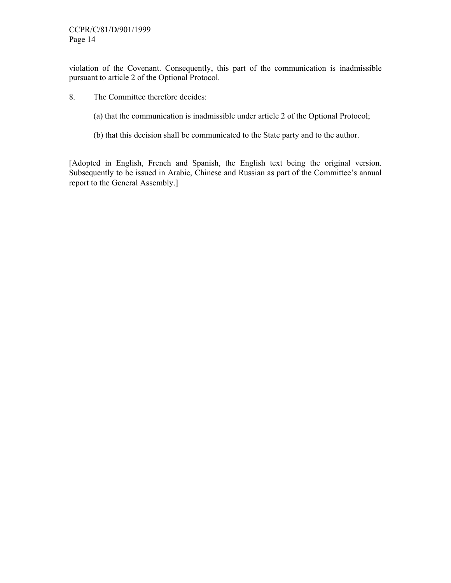violation of the Covenant. Consequently, this part of the communication is inadmissible pursuant to article 2 of the Optional Protocol.

- 8. The Committee therefore decides:
	- (a) that the communication is inadmissible under article 2 of the Optional Protocol;
	- (b) that this decision shall be communicated to the State party and to the author.

[Adopted in English, French and Spanish, the English text being the original version. Subsequently to be issued in Arabic, Chinese and Russian as part of the Committee's annual report to the General Assembly.]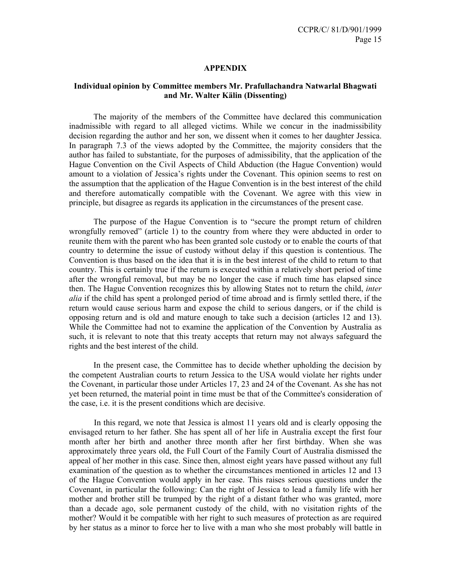#### **APPENDIX**

## **Individual opinion by Committee members Mr. Prafullachandra Natwarlal Bhagwati and Mr. Walter Kälin (Dissenting)**

 The majority of the members of the Committee have declared this communication inadmissible with regard to all alleged victims. While we concur in the inadmissibility decision regarding the author and her son, we dissent when it comes to her daughter Jessica. In paragraph 7.3 of the views adopted by the Committee, the majority considers that the author has failed to substantiate, for the purposes of admissibility, that the application of the Hague Convention on the Civil Aspects of Child Abduction (the Hague Convention) would amount to a violation of Jessica's rights under the Covenant. This opinion seems to rest on the assumption that the application of the Hague Convention is in the best interest of the child and therefore automatically compatible with the Covenant. We agree with this view in principle, but disagree as regards its application in the circumstances of the present case.

 The purpose of the Hague Convention is to "secure the prompt return of children wrongfully removed" (article 1) to the country from where they were abducted in order to reunite them with the parent who has been granted sole custody or to enable the courts of that country to determine the issue of custody without delay if this question is contentious. The Convention is thus based on the idea that it is in the best interest of the child to return to that country. This is certainly true if the return is executed within a relatively short period of time after the wrongful removal, but may be no longer the case if much time has elapsed since then. The Hague Convention recognizes this by allowing States not to return the child, *inter alia* if the child has spent a prolonged period of time abroad and is firmly settled there, if the return would cause serious harm and expose the child to serious dangers, or if the child is opposing return and is old and mature enough to take such a decision (articles 12 and 13). While the Committee had not to examine the application of the Convention by Australia as such, it is relevant to note that this treaty accepts that return may not always safeguard the rights and the best interest of the child.

 In the present case, the Committee has to decide whether upholding the decision by the competent Australian courts to return Jessica to the USA would violate her rights under the Covenant, in particular those under Articles 17, 23 and 24 of the Covenant. As she has not yet been returned, the material point in time must be that of the Committee's consideration of the case, i.e. it is the present conditions which are decisive.

 In this regard, we note that Jessica is almost 11 years old and is clearly opposing the envisaged return to her father. She has spent all of her life in Australia except the first four month after her birth and another three month after her first birthday. When she was approximately three years old, the Full Court of the Family Court of Australia dismissed the appeal of her mother in this case. Since then, almost eight years have passed without any full examination of the question as to whether the circumstances mentioned in articles 12 and 13 of the Hague Convention would apply in her case. This raises serious questions under the Covenant, in particular the following: Can the right of Jessica to lead a family life with her mother and brother still be trumped by the right of a distant father who was granted, more than a decade ago, sole permanent custody of the child, with no visitation rights of the mother? Would it be compatible with her right to such measures of protection as are required by her status as a minor to force her to live with a man who she most probably will battle in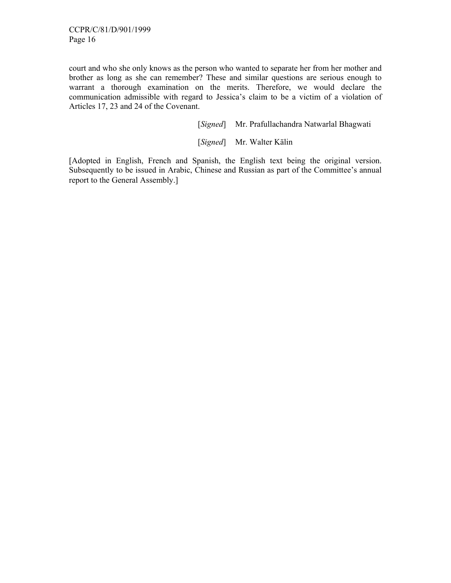court and who she only knows as the person who wanted to separate her from her mother and brother as long as she can remember? These and similar questions are serious enough to warrant a thorough examination on the merits. Therefore, we would declare the communication admissible with regard to Jessica's claim to be a victim of a violation of Articles 17, 23 and 24 of the Covenant.

[*Signed*] Mr. Prafullachandra Natwarlal Bhagwati

[*Signed*] Mr. Walter Kälin

[Adopted in English, French and Spanish, the English text being the original version. Subsequently to be issued in Arabic, Chinese and Russian as part of the Committee's annual report to the General Assembly.]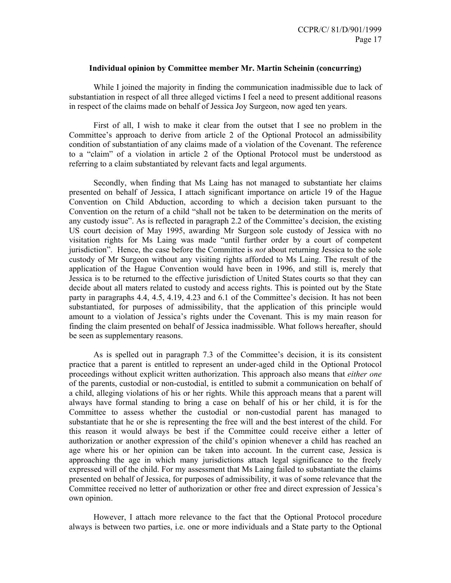### **Individual opinion by Committee member Mr. Martin Scheinin (concurring)**

 While I joined the majority in finding the communication inadmissible due to lack of substantiation in respect of all three alleged victims I feel a need to present additional reasons in respect of the claims made on behalf of Jessica Joy Surgeon, now aged ten years.

 First of all, I wish to make it clear from the outset that I see no problem in the Committee's approach to derive from article 2 of the Optional Protocol an admissibility condition of substantiation of any claims made of a violation of the Covenant. The reference to a "claim" of a violation in article 2 of the Optional Protocol must be understood as referring to a claim substantiated by relevant facts and legal arguments.

 Secondly, when finding that Ms Laing has not managed to substantiate her claims presented on behalf of Jessica, I attach significant importance on article 19 of the Hague Convention on Child Abduction, according to which a decision taken pursuant to the Convention on the return of a child "shall not be taken to be determination on the merits of any custody issue". As is reflected in paragraph 2.2 of the Committee's decision, the existing US court decision of May 1995, awarding Mr Surgeon sole custody of Jessica with no visitation rights for Ms Laing was made "until further order by a court of competent jurisdiction". Hence, the case before the Committee is *not* about returning Jessica to the sole custody of Mr Surgeon without any visiting rights afforded to Ms Laing. The result of the application of the Hague Convention would have been in 1996, and still is, merely that Jessica is to be returned to the effective jurisdiction of United States courts so that they can decide about all maters related to custody and access rights. This is pointed out by the State party in paragraphs 4.4, 4.5, 4.19, 4.23 and 6.1 of the Committee's decision. It has not been substantiated, for purposes of admissibility, that the application of this principle would amount to a violation of Jessica's rights under the Covenant. This is my main reason for finding the claim presented on behalf of Jessica inadmissible. What follows hereafter, should be seen as supplementary reasons.

 As is spelled out in paragraph 7.3 of the Committee's decision, it is its consistent practice that a parent is entitled to represent an under-aged child in the Optional Protocol proceedings without explicit written authorization. This approach also means that *either one* of the parents, custodial or non-custodial, is entitled to submit a communication on behalf of a child, alleging violations of his or her rights. While this approach means that a parent will always have formal standing to bring a case on behalf of his or her child, it is for the Committee to assess whether the custodial or non-custodial parent has managed to substantiate that he or she is representing the free will and the best interest of the child. For this reason it would always be best if the Committee could receive either a letter of authorization or another expression of the child's opinion whenever a child has reached an age where his or her opinion can be taken into account. In the current case, Jessica is approaching the age in which many jurisdictions attach legal significance to the freely expressed will of the child. For my assessment that Ms Laing failed to substantiate the claims presented on behalf of Jessica, for purposes of admissibility, it was of some relevance that the Committee received no letter of authorization or other free and direct expression of Jessica's own opinion.

 However, I attach more relevance to the fact that the Optional Protocol procedure always is between two parties, i.e. one or more individuals and a State party to the Optional